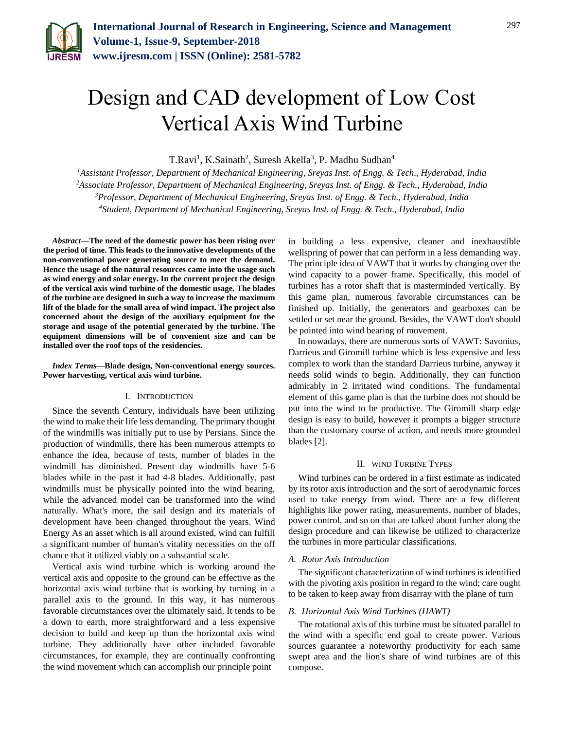

# Design and CAD development of Low Cost Vertical Axis Wind Turbine

T.Ravi<sup>1</sup>, K.Sainath<sup>2</sup>, Suresh Akella<sup>3</sup>, P. Madhu Sudhan<sup>4</sup>

*Assistant Professor, Department of Mechanical Engineering, Sreyas Inst. of Engg. & Tech., Hyderabad, India Associate Professor, Department of Mechanical Engineering, Sreyas Inst. of Engg. & Tech., Hyderabad, India Professor, Department of Mechanical Engineering, Sreyas Inst. of Engg. & Tech., Hyderabad, India Student, Department of Mechanical Engineering, Sreyas Inst. of Engg. & Tech., Hyderabad, India*

*Abstract***—The need of the domestic power has been rising over the period of time. This leads to the innovative developments of the non-conventional power generating source to meet the demand. Hence the usage of the natural resources came into the usage such as wind energy and solar energy. In the current project the design of the vertical axis wind turbine of the domestic usage. The blades of the turbine are designed in such a way to increase the maximum lift of the blade for the small area of wind impact. The project also concerned about the design of the auxiliary equipment for the storage and usage of the potential generated by the turbine. The equipment dimensions will be of convenient size and can be installed over the roof tops of the residencies.**

*Index Terms***—Blade design, Non-conventional energy sources. Power harvesting, vertical axis wind turbine.**

#### I. INTRODUCTION

Since the seventh Century, individuals have been utilizing the wind to make their life less demanding. The primary thought of the windmills was initially put to use by Persians. Since the production of windmills, there has been numerous attempts to enhance the idea, because of tests, number of blades in the windmill has diminished. Present day windmills have 5-6 blades while in the past it had 4-8 blades. Additionally, past windmills must be physically pointed into the wind bearing, while the advanced model can be transformed into the wind naturally. What's more, the sail design and its materials of development have been changed throughout the years. Wind Energy As an asset which is all around existed, wind can fulfill a significant number of human's vitality necessities on the off chance that it utilized viably on a substantial scale.

Vertical axis wind turbine which is working around the vertical axis and opposite to the ground can be effective as the horizontal axis wind turbine that is working by turning in a parallel axis to the ground. In this way, it has numerous favorable circumstances over the ultimately said. It tends to be a down to earth, more straightforward and a less expensive decision to build and keep up than the horizontal axis wind turbine. They additionally have other included favorable circumstances, for example, they are continually confronting the wind movement which can accomplish our principle point

in building a less expensive, cleaner and inexhaustible wellspring of power that can perform in a less demanding way. The principle idea of VAWT that it works by changing over the wind capacity to a power frame. Specifically, this model of turbines has a rotor shaft that is masterminded vertically. By this game plan, numerous favorable circumstances can be finished up. Initially, the generators and gearboxes can be settled or set near the ground. Besides, the VAWT don't should be pointed into wind bearing of movement.

In nowadays, there are numerous sorts of VAWT: Savonius, Darrieus and Giromill turbine which is less expensive and less complex to work than the standard Darrieus turbine, anyway it needs solid winds to begin. Additionally, they can function admirably in 2 irritated wind conditions. The fundamental element of this game plan is that the turbine does not should be put into the wind to be productive. The Giromill sharp edge design is easy to build, however it prompts a bigger structure than the customary course of action, and needs more grounded blades [2].

#### II. WIND TURBINE TYPES

Wind turbines can be ordered in a first estimate as indicated by its rotor axis introduction and the sort of aerodynamic forces used to take energy from wind. There are a few different highlights like power rating, measurements, number of blades, power control, and so on that are talked about further along the design procedure and can likewise be utilized to characterize the turbines in more particular classifications.

#### *A. Rotor Axis Introduction*

The significant characterization of wind turbines is identified with the pivoting axis position in regard to the wind; care ought to be taken to keep away from disarray with the plane of turn

#### *B. Horizontal Axis Wind Turbines (HAWT)*

The rotational axis of this turbine must be situated parallel to the wind with a specific end goal to create power. Various sources guarantee a noteworthy productivity for each same swept area and the lion's share of wind turbines are of this compose.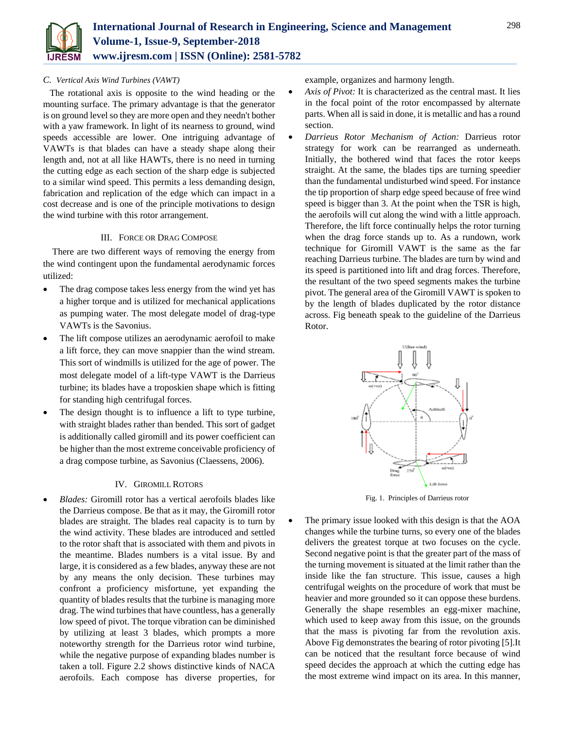

#### *C. Vertical Axis Wind Turbines (VAWT)*

The rotational axis is opposite to the wind heading or the mounting surface. The primary advantage is that the generator is on ground level so they are more open and they needn't bother with a yaw framework. In light of its nearness to ground, wind speeds accessible are lower. One intriguing advantage of VAWTs is that blades can have a steady shape along their length and, not at all like HAWTs, there is no need in turning the cutting edge as each section of the sharp edge is subjected to a similar wind speed. This permits a less demanding design, fabrication and replication of the edge which can impact in a cost decrease and is one of the principle motivations to design the wind turbine with this rotor arrangement.

### III. FORCE OR DRAG COMPOSE

There are two different ways of removing the energy from the wind contingent upon the fundamental aerodynamic forces utilized:

- The drag compose takes less energy from the wind yet has a higher torque and is utilized for mechanical applications as pumping water. The most delegate model of drag-type VAWTs is the Savonius.
- The lift compose utilizes an aerodynamic aerofoil to make a lift force, they can move snappier than the wind stream. This sort of windmills is utilized for the age of power. The most delegate model of a lift-type VAWT is the Darrieus turbine; its blades have a troposkien shape which is fitting for standing high centrifugal forces.
- The design thought is to influence a lift to type turbine, with straight blades rather than bended. This sort of gadget is additionally called giromill and its power coefficient can be higher than the most extreme conceivable proficiency of a drag compose turbine, as Savonius (Claessens, 2006).

# IV. GIROMILL ROTORS

 *Blades:* Giromill rotor has a vertical aerofoils blades like the Darrieus compose. Be that as it may, the Giromill rotor blades are straight. The blades real capacity is to turn by the wind activity. These blades are introduced and settled to the rotor shaft that is associated with them and pivots in the meantime. Blades numbers is a vital issue. By and large, it is considered as a few blades, anyway these are not by any means the only decision. These turbines may confront a proficiency misfortune, yet expanding the quantity of blades results that the turbine is managing more drag. The wind turbines that have countless, has a generally low speed of pivot. The torque vibration can be diminished by utilizing at least 3 blades, which prompts a more noteworthy strength for the Darrieus rotor wind turbine, while the negative purpose of expanding blades number is taken a toll. Figure 2.2 shows distinctive kinds of NACA aerofoils. Each compose has diverse properties, for example, organizes and harmony length.

- *Axis of Pivot:* It is characterized as the central mast. It lies in the focal point of the rotor encompassed by alternate parts. When all is said in done, it is metallic and has a round section.
- *Darrieus Rotor Mechanism of Action:* Darrieus rotor strategy for work can be rearranged as underneath. Initially, the bothered wind that faces the rotor keeps straight. At the same, the blades tips are turning speedier than the fundamental undisturbed wind speed. For instance the tip proportion of sharp edge speed because of free wind speed is bigger than 3. At the point when the TSR is high, the aerofoils will cut along the wind with a little approach. Therefore, the lift force continually helps the rotor turning when the drag force stands up to. As a rundown, work technique for Giromill VAWT is the same as the far reaching Darrieus turbine. The blades are turn by wind and its speed is partitioned into lift and drag forces. Therefore, the resultant of the two speed segments makes the turbine pivot. The general area of the Giromill VAWT is spoken to by the length of blades duplicated by the rotor distance across. Fig beneath speak to the guideline of the Darrieus Rotor.



Fig. 1. Principles of Darrieus rotor

 The primary issue looked with this design is that the AOA changes while the turbine turns, so every one of the blades delivers the greatest torque at two focuses on the cycle. Second negative point is that the greater part of the mass of the turning movement is situated at the limit rather than the inside like the fan structure. This issue, causes a high centrifugal weights on the procedure of work that must be heavier and more grounded so it can oppose these burdens. Generally the shape resembles an egg-mixer machine, which used to keep away from this issue, on the grounds that the mass is pivoting far from the revolution axis. Above Fig demonstrates the bearing of rotor pivoting [5].It can be noticed that the resultant force because of wind speed decides the approach at which the cutting edge has the most extreme wind impact on its area. In this manner,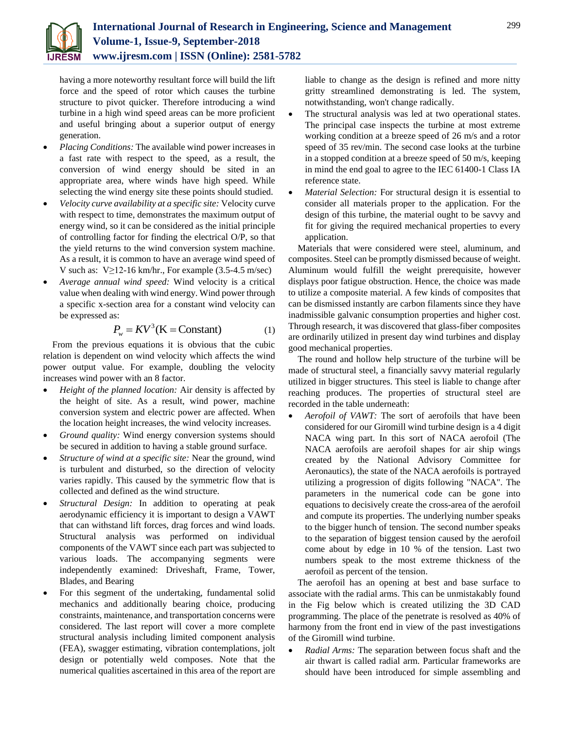

having a more noteworthy resultant force will build the lift force and the speed of rotor which causes the turbine structure to pivot quicker. Therefore introducing a wind turbine in a high wind speed areas can be more proficient and useful bringing about a superior output of energy generation.

- *Placing Conditions:* The available wind power increases in a fast rate with respect to the speed, as a result, the conversion of wind energy should be sited in an appropriate area, where winds have high speed. While selecting the wind energy site these points should studied.
- *Velocity curve availability at a specific site:* Velocity curve with respect to time, demonstrates the maximum output of energy wind, so it can be considered as the initial principle of controlling factor for finding the electrical O/P, so that the yield returns to the wind conversion system machine. As a result, it is common to have an average wind speed of V such as:  $V\geq 12-16$  km/hr., For example (3.5-4.5 m/sec)
- *Average annual wind speed:* Wind velocity is a critical value when dealing with wind energy. Wind power through a specific x-section area for a constant wind velocity can be expressed as:

$$
P_w = KV^3(K = Constant)
$$
 (1)

From the previous equations it is obvious that the cubic relation is dependent on wind velocity which affects the wind power output value. For example, doubling the velocity increases wind power with an 8 factor.

- *Height of the planned location:* Air density is affected by the height of site. As a result, wind power, machine conversion system and electric power are affected. When the location height increases, the wind velocity increases.
- *Ground quality:* Wind energy conversion systems should be secured in addition to having a stable ground surface.
- *Structure of wind at a specific site:* Near the ground, wind is turbulent and disturbed, so the direction of velocity varies rapidly. This caused by the symmetric flow that is collected and defined as the wind structure.
- *Structural Design:* In addition to operating at peak aerodynamic efficiency it is important to design a VAWT that can withstand lift forces, drag forces and wind loads. Structural analysis was performed on individual components of the VAWT since each part was subjected to various loads. The accompanying segments were independently examined: Driveshaft, Frame, Tower, Blades, and Bearing
- For this segment of the undertaking, fundamental solid mechanics and additionally bearing choice, producing constraints, maintenance, and transportation concerns were considered. The last report will cover a more complete structural analysis including limited component analysis (FEA), swagger estimating, vibration contemplations, jolt design or potentially weld composes. Note that the numerical qualities ascertained in this area of the report are

liable to change as the design is refined and more nitty gritty streamlined demonstrating is led. The system, notwithstanding, won't change radically.

- The structural analysis was led at two operational states. The principal case inspects the turbine at most extreme working condition at a breeze speed of 26 m/s and a rotor speed of 35 rev/min. The second case looks at the turbine in a stopped condition at a breeze speed of 50 m/s, keeping in mind the end goal to agree to the IEC 61400-1 Class IA reference state.
- *Material Selection:* For structural design it is essential to consider all materials proper to the application. For the design of this turbine, the material ought to be savvy and fit for giving the required mechanical properties to every application.

Materials that were considered were steel, aluminum, and composites. Steel can be promptly dismissed because of weight. Aluminum would fulfill the weight prerequisite, however displays poor fatigue obstruction. Hence, the choice was made to utilize a composite material. A few kinds of composites that can be dismissed instantly are carbon filaments since they have inadmissible galvanic consumption properties and higher cost. Through research, it was discovered that glass-fiber composites are ordinarily utilized in present day wind turbines and display good mechanical properties.

The round and hollow help structure of the turbine will be made of structural steel, a financially savvy material regularly utilized in bigger structures. This steel is liable to change after reaching produces. The properties of structural steel are recorded in the table underneath:

 *Aerofoil of VAWT:* The sort of aerofoils that have been considered for our Giromill wind turbine design is a 4 digit NACA wing part. In this sort of NACA aerofoil (The NACA aerofoils are aerofoil shapes for air ship wings created by the National Advisory Committee for Aeronautics), the state of the NACA aerofoils is portrayed utilizing a progression of digits following "NACA". The parameters in the numerical code can be gone into equations to decisively create the cross-area of the aerofoil and compute its properties. The underlying number speaks to the bigger hunch of tension. The second number speaks to the separation of biggest tension caused by the aerofoil come about by edge in 10 % of the tension. Last two numbers speak to the most extreme thickness of the aerofoil as percent of the tension.

The aerofoil has an opening at best and base surface to associate with the radial arms. This can be unmistakably found in the Fig below which is created utilizing the 3D CAD programming. The place of the penetrate is resolved as 40% of harmony from the front end in view of the past investigations of the Giromill wind turbine.

 *Radial Arms:* The separation between focus shaft and the air thwart is called radial arm. Particular frameworks are should have been introduced for simple assembling and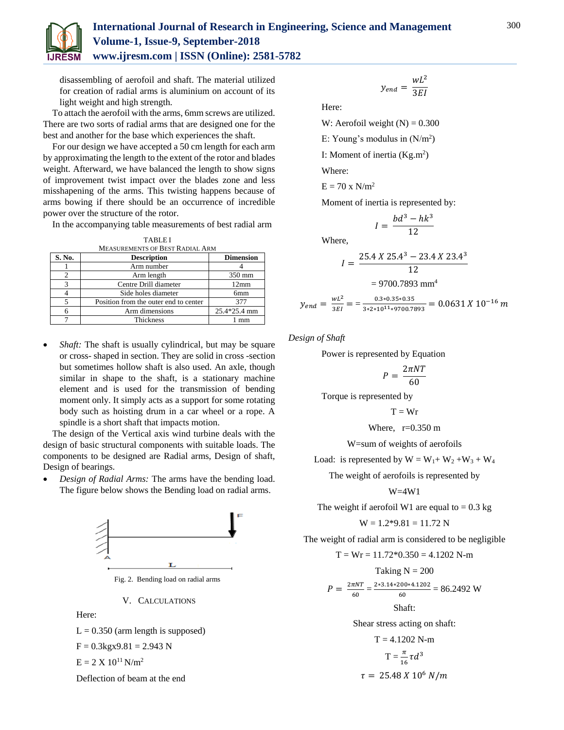

# **International Journal of Research in Engineering, Science and Management Volume-1, Issue-9, September-2018 www.ijresm.com | ISSN (Online): 2581-5782**

disassembling of aerofoil and shaft. The material utilized for creation of radial arms is aluminium on account of its light weight and high strength.

To attach the aerofoil with the arms, 6mm screws are utilized. There are two sorts of radial arms that are designed one for the best and another for the base which experiences the shaft.

For our design we have accepted a 50 cm length for each arm by approximating the length to the extent of the rotor and blades weight. Afterward, we have balanced the length to show signs of improvement twist impact over the blades zone and less misshapening of the arms. This twisting happens because of arms bowing if there should be an occurrence of incredible power over the structure of the rotor.

In the accompanying table measurements of best radial arm

|        | <b>TABLEI</b><br><b>MEASUREMENTS OF BEST RADIAL ARM</b> |                        |  |  |  |  |
|--------|---------------------------------------------------------|------------------------|--|--|--|--|
| S. No. | <b>Description</b>                                      | <b>Dimension</b>       |  |  |  |  |
|        | Arm number                                              |                        |  |  |  |  |
|        | Arm length                                              | 350 mm                 |  |  |  |  |
|        | Centre Drill diameter                                   | 12mm                   |  |  |  |  |
|        | Side holes diameter                                     | 6 <sub>mm</sub>        |  |  |  |  |
|        | Position from the outer end to center                   | 377                    |  |  |  |  |
|        | Arm dimensions                                          | $25.4*25.4 \text{ mm}$ |  |  |  |  |

- 6 Arm dimensions 25.4\*25.4 mm Thickness 1 mm
- *Shaft:* The shaft is usually cylindrical, but may be square or cross- shaped in section. They are solid in cross -section but sometimes hollow shaft is also used. An axle, though similar in shape to the shaft, is a stationary machine element and is used for the transmission of bending moment only. It simply acts as a support for some rotating body such as hoisting drum in a car wheel or a rope. A spindle is a short shaft that impacts motion.

The design of the Vertical axis wind turbine deals with the design of basic structural components with suitable loads. The components to be designed are Radial arms, Design of shaft, Design of bearings.

 *Design of Radial Arms:* The arms have the bending load. The figure below shows the Bending load on radial arms.



Fig. 2. Bending load on radial arms

V. CALCULATIONS

Here:

 $L = 0.350$  (arm length is supposed)  $F = 0.3$ kgx $9.81 = 2.943$  N

$$
E = 2 \; X \; 10^{11} \, N/m^2
$$

Deflection of beam at the end

$$
y_{end} = \frac{wL^2}{3EI}
$$

Here:

W: Aerofoil weight  $(N) = 0.300$ 

E: Young's modulus in  $(N/m^2)$ 

I: Moment of inertia  $(Kg.m^2)$ 

Where:

Where,

 $E = 70$  x  $N/m<sup>2</sup>$ 

Moment of inertia is represented by:

$$
I = \frac{bd^3 - hk}{12}
$$

$$
I = \frac{25.4 \times 25.4^3 - 23.4 \times 23.4^3}{12}
$$
  
= 9700.7893 mm<sup>4</sup>  

$$
wL^2 = 0.3*0.35*0.35
$$

3

 $y_{end} = \frac{wL^2}{2EI}$  $\frac{W L^2}{3EI} = \frac{0.3*0.35*0.35}{3*2*10^{11}*9700.75}$  $\frac{0.3*0.3*0.35}{3*2*10^{11}*9700.7893} = 0.0631 X 10^{-16} m$ 

*Design of Shaft* 

Power is represented by Equation

$$
P = \frac{2\pi NT}{60}
$$

Torque is represented by

$$
T=Wr
$$

Where,  $r=0.350$  m

W=sum of weights of aerofoils

Load: is represented by  $W = W_1 + W_2 + W_3 + W_4$ 

The weight of aerofoils is represented by

W=4W1

The weight if aerofoil W1 are equal to  $= 0.3$  kg

$$
W = 1.2*9.81 = 11.72 N
$$

The weight of radial arm is considered to be negligible

T = Wr = 11.72\*0.350 = 4.1202 N-m  
\nTaking N = 200  
\n
$$
P = \frac{2\pi NT}{60} = \frac{2*3.14*200*4.1202}{60} = 86.2492 \text{ W}
$$
\nShaft:  
\nShear stress acting on shaft:  
\nT = 4.1202 N-m

$$
T = \frac{\pi}{16} \tau d^3
$$
  
\n
$$
\tau = 25.48 \, X \, 10^6 \, N/m
$$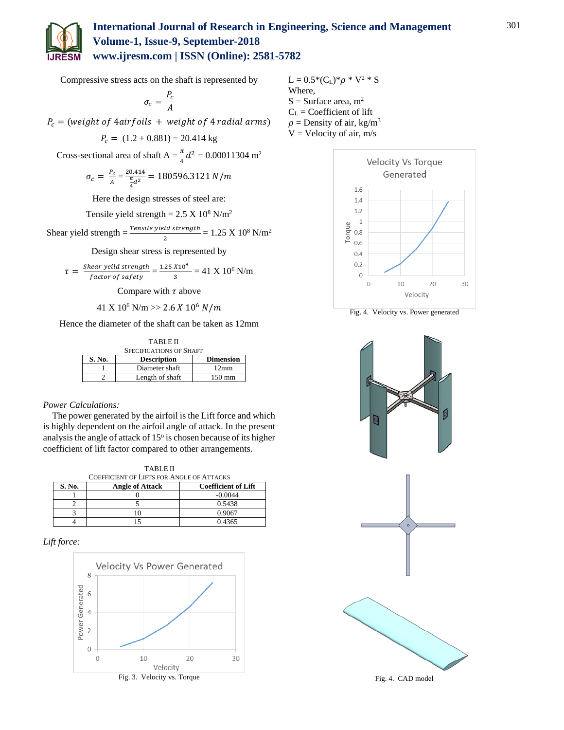

Compressive stress acts on the shaft is represented by

$$
\sigma_c = \frac{P_c}{A}
$$

 $P_c =$  (weight of 4 airfoils + weight of 4 radial arms)

$$
P_c = (1.2 + 0.881) = 20.414 \text{ kg}
$$

Cross-sectional area of shaft  $A = \frac{\pi}{4}d^2 = 0.00011304$  m<sup>2</sup>

$$
\sigma_c = \frac{P_c}{A} = \frac{20.414}{\frac{\pi}{4}d^2} = 180596.3121 \text{ N/m}
$$

Here the design stresses of steel are:

Tensile yield strength =  $2.5 \text{ X } 10^8 \text{ N/m}^2$ 

Shear yield strength  $=\frac{Tensile \, yield \, strength}{2} = 1.25 \, \text{X} \, 10^8 \, \text{N/m}^2$ 

Design shear stress is represented by

$$
\tau = \frac{Shear \, yield \, strength}{factor \, of \, safety} = \frac{1.25 \, X10^8}{3} = 41 \, X \, 10^6 \, N/m
$$

Compare with  $\tau$  above

41 X  $10^6$  N/m >> 2.6 X  $10^6$  N/m

Hence the diameter of the shaft can be taken as 12mm

| <b>TABLE II</b>                |                    |                  |  |  |  |  |  |  |
|--------------------------------|--------------------|------------------|--|--|--|--|--|--|
| <b>SPECIFICATIONS OF SHAFT</b> |                    |                  |  |  |  |  |  |  |
| S. No.                         | <b>Description</b> | <b>Dimension</b> |  |  |  |  |  |  |
|                                | Diameter shaft     | $12 \text{mm}$   |  |  |  |  |  |  |
|                                | Length of shaft    | $150 \text{ mm}$ |  |  |  |  |  |  |

# *Power Calculations:*

The power generated by the airfoil is the Lift force and which is highly dependent on the airfoil angle of attack. In the present analysis the angle of attack of 15° is chosen because of its higher coefficient of lift factor compared to other arrangements.

TABLE II

| TABLE II                                                       |  |           |  |  |  |  |  |
|----------------------------------------------------------------|--|-----------|--|--|--|--|--|
| <b>COEFFICIENT OF LIFTS FOR ANGLE OF ATTACKS</b>               |  |           |  |  |  |  |  |
| S. No.<br><b>Coefficient of Lift</b><br><b>Angle of Attack</b> |  |           |  |  |  |  |  |
|                                                                |  | $-0.0044$ |  |  |  |  |  |
|                                                                |  | 0.5438    |  |  |  |  |  |
|                                                                |  | 0.9067    |  |  |  |  |  |
|                                                                |  | 0.4365    |  |  |  |  |  |

# *Lift force:*



L = 0.5\*(C<sub>L</sub>)\*
$$
\rho
$$
 \* V<sup>2</sup> \* S  
Where,  
S = Surface area, m<sup>2</sup>  
C<sub>L</sub> = Coefficient of lift  
 $\rho$  = Density of air, kg/m<sup>3</sup>  
V = Velocity of air, m/s



Fig. 4. Velocity vs. Power generated



Fig. 4. CAD model